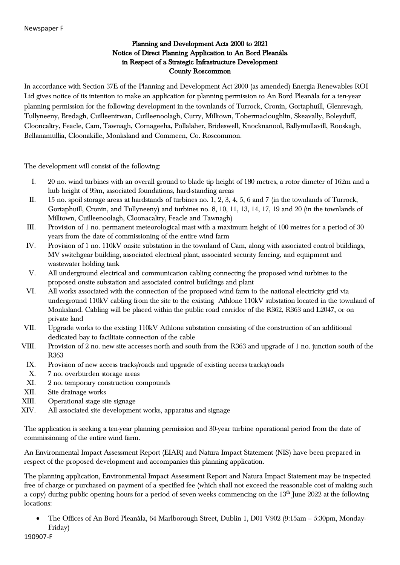## Planning and Development Acts 2000 to 2021 Notice of Direct Planning Application to An Bord Pleanála in Respect of a Strategic Infrastructure Development County Roscommon

In accordance with Section 37E of the Planning and Development Act 2000 (as amended) Energia Renewables ROI Ltd gives notice of its intention to make an application for planning permission to An Bord Pleanála for a ten-year planning permission for the following development in the townlands of Turrock, Cronin, Gortaphuill, Glenrevagh, Tullyneeny, Bredagh, Cuilleenirwan, Cuilleenoolagh, Curry, Milltown, Tobermacloughlin, Skeavally, Boleyduff, Clooncaltry, Feacle, Cam, Tawnagh, Cornageeha, Pollalaher, Brideswell, Knocknanool, Ballymullavill, Rooskagh, Bellanamullia, Cloonakille, Monksland and Commeen, Co. Roscommon.

The development will consist of the following:

- I. 20 no. wind turbines with an overall ground to blade tip height of 180 metres, a rotor dimeter of 162m and a hub height of 99m, associated foundations, hard-standing areas
- II. 15 no. spoil storage areas at hardstands of turbines no. 1, 2, 3, 4, 5, 6 and 7 (in the townlands of Turrock, Gortaphuill, Cronin, and Tullyneeny) and turbines no. 8, 10, 11, 13, 14, 17, 19 and 20 (in the townlands of Milltown, Cuilleenoolagh, Cloonacaltry, Feacle and Tawnagh)
- III. Provision of 1 no. permanent meteorological mast with a maximum height of 100 metres for a period of 30 years from the date of commissioning of the entire wind farm
- IV. Provision of 1 no. 110kV onsite substation in the townland of Cam, along with associated control buildings, MV switchgear building, associated electrical plant, associated security fencing, and equipment and wastewater holding tank
- V. All underground electrical and communication cabling connecting the proposed wind turbines to the proposed onsite substation and associated control buildings and plant
- VI. All works associated with the connection of the proposed wind farm to the national electricity grid via underground 110kV cabling from the site to the existing Athlone 110kV substation located in the townland of Monksland. Cabling will be placed within the public road corridor of the R362, R363 and L2047, or on private land
- VII. Upgrade works to the existing 110kV Athlone substation consisting of the construction of an additional dedicated bay to facilitate connection of the cable
- VIII. Provision of 2 no. new site accesses north and south from the R363 and upgrade of 1 no. junction south of the R363
	- IX. Provision of new access tracks/roads and upgrade of existing access tracks/roads
	- X. 7 no. overburden storage areas
- XI. 2 no. temporary construction compounds
- XII. Site drainage works
- XIII. Operational stage site signage
- XIV. All associated site development works, apparatus and signage

The application is seeking a ten-year planning permission and 30-year turbine operational period from the date of commissioning of the entire wind farm.

An Environmental Impact Assessment Report (EIAR) and Natura Impact Statement (NIS) have been prepared in respect of the proposed development and accompanies this planning application.

The planning application, Environmental Impact Assessment Report and Natura Impact Statement may be inspected free of charge or purchased on payment of a specified fee (which shall not exceed the reasonable cost of making such a copy) during public opening hours for a period of seven weeks commencing on the  $13<sup>th</sup>$  June  $2022$  at the following locations:

• The Offices of An Bord Pleanála, 64 Marlborough Street, Dublin 1, D01 V902 (9:15am – 5:30pm, Monday-Friday)

190907-F